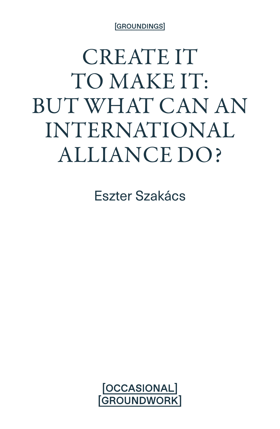[GROUNDINGS]

## CREATE IT TO MAKE IT: BUT WHAT CAN AN INTERNATIONAL ALLIANCE DO?

Eszter Szakács

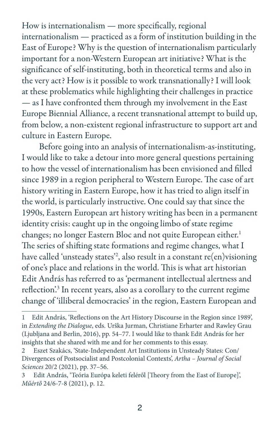How is internationalism — more specifically, regional internationalism — practiced as a form of institution building in the East of Europe? Why is the question of internationalism particularly important for a non-Western European art initiative? What is the significance of self-instituting, both in theoretical terms and also in the very act? How is it possible to work transnationally? I will look at these problematics while highlighting their challenges in practice — as I have confronted them through my involvement in the East Europe Biennial Alliance, a recent transnational attempt to build up, from below, a non-existent regional infrastructure to support art and culture in Eastern Europe.

Before going into an analysis of internationalism-as-instituting, I would like to take a detour into more general questions pertaining to how the vessel of internationalism has been envisioned and filled since 1989 in a region peripheral to Western Europe. The case of art history writing in Eastern Europe, how it has tried to align itself in the world, is particularly instructive. One could say that since the 1990s, Eastern European art history writing has been in a permanent identity crisis: caught up in the ongoing limbo of state regime changes; no longer Eastern Bloc and not quite European either.<sup>1</sup> The series of shifting state formations and regime changes, what I have called 'unsteady states'2 , also result in a constant re(en)visioning of one's place and relations in the world. This is what art historian Edit András has referred to as 'permanent intellectual alertness and reflection<sup>'3</sup> In recent years, also as a corollary to the current regime change of 'illiberal democracies' in the region, Eastern European and

<sup>1</sup> Edit András, 'Reflections on the Art History Discourse in the Region since 1989', in *Extending the Dialogue*, eds. Urška Jurman, Christiane Erharter and Rawley Grau (Ljubljana and Berlin, 2016), pp. 54–77. I would like to thank Edit András for her insights that she shared with me and for her comments to this essay.

<sup>2</sup> Eszet Szakács, 'State-Independent Art Institutions in Unsteady States: Con/ Divergences of Postsocialist and Postcolonial Contexts', *Artha – Journal of Social Sciences* 20/2 (2021), pp. 37–56.

<sup>3</sup> Edit András, 'Teória Európa keleti feléről [Theory from the East of Europe]', *Műértő* 24/6-7-8 (2021), p. 12.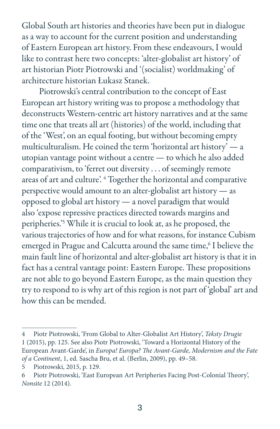Global South art histories and theories have been put in dialogue as a way to account for the current position and understanding of Eastern European art history. From these endeavours, I would like to contrast here two concepts: 'alter-globalist art history' of art historian Piotr Piotrowski and '(socialist) worldmaking' of architecture historian Łukasz Stanek.

Piotrowski's central contribution to the concept of East European art history writing was to propose a methodology that deconstructs Western-centric art history narratives and at the same time one that treats all art (histories) of the world, including that of the 'West', on an equal footing, but without becoming empty multiculturalism. He coined the term 'horizontal art history' — a utopian vantage point without a centre — to which he also added comparativism, to 'ferret out diversity . . . of seemingly remote areas of art and culture'. <sup>4</sup> Together the horizontal and comparative perspective would amount to an alter-globalist art history — as opposed to global art history — a novel paradigm that would also 'expose repressive practices directed towards margins and peripheries.'5 While it is crucial to look at, as he proposed, the various trajectories of how and for what reasons, for instance Cubism emerged in Prague and Calcutta around the same time,<sup>6</sup> I believe the main fault line of horizontal and alter-globalist art history is that it in fact has a central vantage point: Eastern Europe. These propositions are not able to go beyond Eastern Europe, as the main question they try to respond to is why art of this region is not part of 'global' art and how this can be mended.

<sup>4</sup> Piotr Piotrowski, 'From Global to Alter-Globalist Art History', *Teksty Drugie* 1 (2015), pp. 125. See also Piotr Piotrowski, 'Toward a Horizontal History of the European Avant-Garde', in *Europa! Europa? The Avant-Garde, Modernism and the Fate of a Continent*, 1, ed. Sascha Bru, et al. (Berlin, 2009), pp. 49–58.

<sup>5</sup> Piotrowski, 2015, p. 129.

<sup>6</sup> Piotr Piotrowski, 'East European Art Peripheries Facing Post-Colonial Theory', *Nonsite* 12 (2014).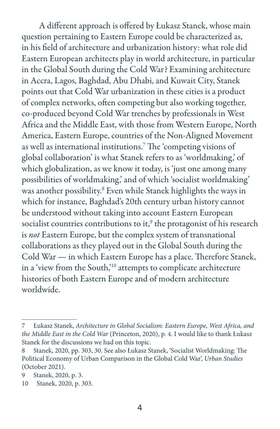A different approach is offered by Łukasz Stanek, whose main question pertaining to Eastern Europe could be characterized as, in his field of architecture and urbanization history: what role did Eastern European architects play in world architecture, in particular in the Global South during the Cold War? Examining architecture in Accra, Lagos, Baghdad, Abu Dhabi, and Kuwait City, Stanek points out that Cold War urbanization in these cities is a product of complex networks, often competing but also working together, co-produced beyond Cold War trenches by professionals in West Africa and the Middle East, with those from Western Europe, North America, Eastern Europe, countries of the Non-Aligned Movement as well as international institutions.7 The 'competing visions of global collaboration' is what Stanek refers to as 'worldmaking,' of which globalization, as we know it today, is 'just one among many possibilities of worldmaking,' and of which 'socialist worldmaking' was another possibility.8 Even while Stanek highlights the ways in which for instance, Baghdad's 20th century urban history cannot be understood without taking into account Eastern European socialist countries contributions to it,<sup>9</sup> the protagonist of his research is *not* Eastern Europe, but the complex system of transnational collaborations as they played out in the Global South during the Cold War — in which Eastern Europe has a place. Therefore Stanek, in a 'view from the South,'10 attempts to complicate architecture histories of both Eastern Europe and of modern architecture worldwide.

<sup>7</sup> Łukasz Stanek, *Architecture in Global Socialism: Eastern Europe, West Africa, and the Middle East in the Cold War* (Princeton, 2020), p. 4. I would like to thank Łukasz Stanek for the discussions we had on this topic.

<sup>8</sup> Stanek, 2020, pp. 303, 30. See also Łukasz Stanek, 'Socialist Worldmaking: The Political Economy of Urban Comparison in the Global Cold War', *Urban Studies* (October 2021).

<sup>9</sup> Stanek, 2020, p. 3.

<sup>10</sup> Stanek, 2020, p. 303.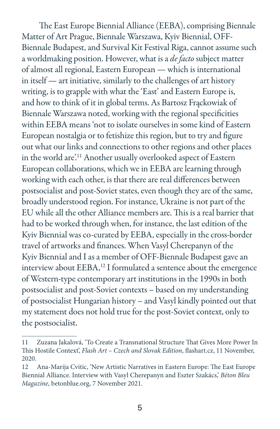The East Europe Biennial Alliance (EEBA), comprising Biennale Matter of Art Prague, Biennale Warszawa, Kyiv Biennial, OFF-Biennale Budapest, and Survival Kit Festival Riga, cannot assume such a worldmaking position. However, what is a *de facto* subject matter of almost all regional, Eastern European — which is international in itself — art initiative, similarly to the challenges of art history writing, is to grapple with what the 'East' and Eastern Europe is, and how to think of it in global terms. As Bartosz Frąckowiak of Biennale Warszawa noted, working with the regional specificities within EEBA means 'not to isolate ourselves in some kind of Eastern European nostalgia or to fetishize this region, but to try and figure out what our links and connections to other regions and other places in the world are'.11 Another usually overlooked aspect of Eastern European collaborations, which we in EEBA are learning through working with each other, is that there are real differences between postsocialist and post-Soviet states, even though they are of the same, broadly understood region. For instance, Ukraine is not part of the EU while all the other Alliance members are. This is a real barrier that had to be worked through when, for instance, the last edition of the Kyiv Biennial was co-curated by EEBA, especially in the cross-border travel of artworks and finances. When Vasyl Cherepanyn of the Kyiv Biennial and I as a member of OFF-Biennale Budapest gave an interview about EEBA,<sup>12</sup> I formulated a sentence about the emergence of Western-type contemporary art institutions in the 1990s in both postsocialist and post-Soviet contexts – based on my understanding of postsocialist Hungarian history – and Vasyl kindly pointed out that my statement does not hold true for the post-Soviet context, only to the postsocialist.

<sup>11</sup> Zuzana Jakalová, 'To Create a Transnational Structure That Gives More Power In This Hostile Context', *Flash Art – Czech and Slovak Edition*, flashart.cz, 11 November, 2020.

<sup>12</sup> Ana-Marija Cvitic, 'New Artistic Narratives in Eastern Europe: The East Europe Biennial Alliance. Interview with Vasyl Cherepanyn and Eszter Szakács,' *Béton Bleu Magazine*, betonblue.org, 7 November 2021.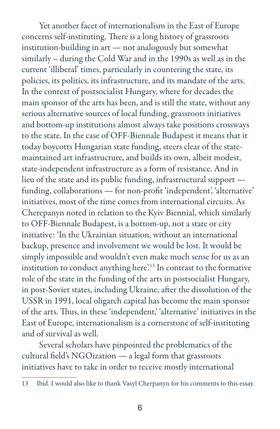Yet another facet of internationalism in the East of Europe concerns self-instituting. There is a long history of grassroots institution-building in art — not analogously but somewhat similarly – during the Cold War and in the 1990s as well as in the current 'illiberal' times, particularly in countering the state, its policies, its politics, its infrastructure, and its mandate of the arts. In the context of postsocialist Hungary, where for decades the main sponsor of the arts has been, and is still the state, without any serious alternative sources of local funding, grassroots initiatives and bottom-up institutions almost always take positions crossways to the state. In the case of OFF-Biennale Budapest it means that it today boycotts Hungarian state funding, steers clear of the statemaintained art infrastructure, and builds its own, albeit modest, state-independent infrastructure as a form of resistance. And in lieu of the state and its public funding, infrastructural support funding, collaborations — for non-profit 'independent', 'alternative' initiatives, most of the time comes from international circuits. As Cherepanyn noted in relation to the Kyiv Biennial, which similarly to OFF-Biennale Budapest, is a bottom-up, not a state or city initiative: 'In the Ukrainian situation, without an international backup, presence and involvement we would be lost. It would be simply impossible and wouldn't even make much sense for us as an institution to conduct anything here'.13 In contrast to the formative role of the state in the funding of the arts in postsocialist Hungary, in post-Soviet states, including Ukraine, after the dissolution of the USSR in 1991, local oligarch capital has become the main sponsor of the arts. Thus, in these 'independent,' 'alternative' initiatives in the East of Europe, internationalism is a cornerstone of self-instituting and of survival as well.

Several scholars have pinpointed the problematics of the cultural field's NGOization — a legal form that grassroots initiatives have to take in order to receive mostly international

<sup>13</sup> Ibid. I would also like to thank Vasyl Cherpanyn for his comments to this essay.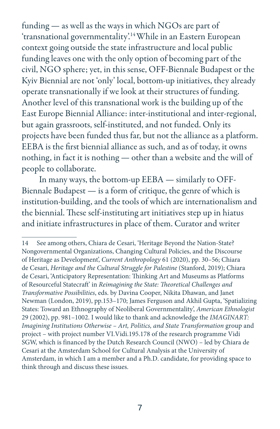funding — as well as the ways in which NGOs are part of 'transnational governmentality'.14 While in an Eastern European context going outside the state infrastructure and local public funding leaves one with the only option of becoming part of the civil, NGO sphere; yet, in this sense, OFF-Biennale Budapest or the Kyiv Biennial are not 'only' local, bottom-up initiatives, they already operate transnationally if we look at their structures of funding. Another level of this transnational work is the building up of the East Europe Biennial Alliance: inter-institutional and inter-regional, but again grassroots, self-instituted, and not funded. Only its projects have been funded thus far, but not the alliance as a platform. EEBA is the first biennial alliance as such, and as of today, it owns nothing, in fact it is nothing — other than a website and the will of people to collaborate.

In many ways, the bottom-up EEBA — similarly to OFF-Biennale Budapest — is a form of critique, the genre of which is institution-building, and the tools of which are internationalism and the biennial. These self-instituting art initiatives step up in hiatus and initiate infrastructures in place of them. Curator and writer

<sup>14</sup> See among others, Chiara de Cesari, 'Heritage Beyond the Nation-State? Nongovernmental Organizations, Changing Cultural Policies, and the Discourse of Heritage as Development', *Current Anthropology* 61 (2020), pp. 30–56; Chiara de Cesari, *Heritage and the Cultural Struggle for Palestine* (Stanford, 2019); Chiara de Cesari, 'Anticipatory Representation: Thinking Art and Museums as Platforms of Resourceful Statecraft' in *Reimagining the State: Theoretical Challenges and Transformative Possibilities*, eds. by Davina Cooper, Nikita Dhawan, and Janet Newman (London, 2019), pp.153–170; James Ferguson and Akhil Gupta, 'Spatializing States: Toward an Ethnography of Neoliberal Governmentality', *American Ethnologist* 29 (2002), pp. 981–1002. I would like to thank and acknowledge the *IMAGINART: Imagining Institutions Otherwise – Art, Politics, and State Transformation* group and project – with project number VI.Vidi.195.178 of the research programme Vidi SGW, which is financed by the Dutch Research Council (NWO) – led by Chiara de Cesari at the Amsterdam School for Cultural Analysis at the University of Amsterdam, in which I am a member and a Ph.D. candidate, for providing space to think through and discuss these issues.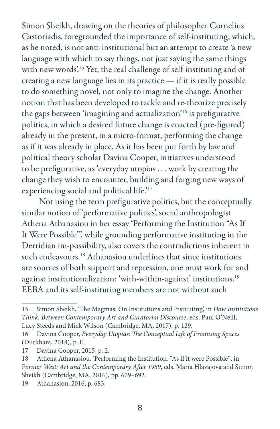Simon Sheikh, drawing on the theories of philosopher Cornelius Castoriadis, foregrounded the importance of self-instituting, which, as he noted, is not anti-institutional but an attempt to create 'a new language with which to say things, not just saying the same things with new words<sup>'15</sup> Yet, the real challenge of self-instituting and of creating a new language lies in its practice — if it is really possible to do something novel, not only to imagine the change. Another notion that has been developed to tackle and re-theorize precisely the gaps between 'imagining and actualization'16 is prefigurative politics, in which a desired future change is enacted (pre-figured) already in the present, in a micro-format, performing the change as if it was already in place. As it has been put forth by law and political theory scholar Davina Cooper, initiatives understood to be prefigurative, as 'everyday utopias . . . work by creating the change they wish to encounter, building and forging new ways of experiencing social and political life.'17

Not using the term prefigurative politics, but the conceptually similar notion of 'performative politics', social anthropologist Athena Athanasiou in her essay 'Performing the Institution "As If It Were Possible"', while grounding performative instituting in the Derridian im-possibility, also covers the contradictions inherent in such endeavours.<sup>18</sup> Athanasiou underlines that since institutions are sources of both support and repression, one must work for and against institutionalization: 'with-within-against' institutions.19 EEBA and its self-instituting members are not without such

<sup>15</sup> Simon Sheikh, 'The Magmas: On Institutions and Instituting', in *How Institutions Think: Between Contemporary Art and Curatorial Discourse*, eds. Paul O'Neill; Lucy Steeds and Mick Wilson (Cambridge, MA, 2017). p. 129.

<sup>16</sup> Davina Cooper, *Everyday Utopias: The Conceptual Life of Promising Spaces* (Durkham, 2014), p. II.

<sup>17</sup> Davina Cooper, 2015, p. 2.

<sup>18</sup> Athena Athanasiou, 'Performing the Institution, "As if it were Possible"', in F*ormer West: Art and the Contemporary After 1989*, eds. Maria Hlavajova and Simon Sheikh (Cambridge, MA, 2016), pp. 679–692.

<sup>19</sup> Athanasiou, 2016, p. 683.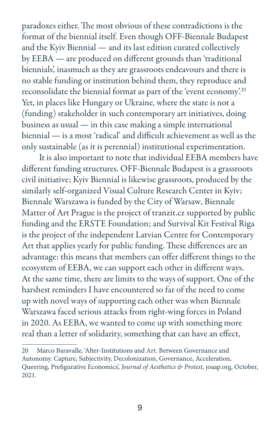paradoxes either. The most obvious of these contradictions is the format of the biennial itself. Even though OFF-Biennale Budapest and the Kyiv Biennial — and its last edition curated collectively by EEBA — are produced on different grounds than 'traditional biennials', inasmuch as they are grassroots endeavours and there is no stable funding or institution behind them, they reproduce and reconsolidate the biennial format as part of the 'event economy'. 20 Yet, in places like Hungary or Ukraine, where the state is not a (funding) stakeholder in such contemporary art initiatives, doing business as usual — in this case making a simple international biennial — is a most 'radical' and difficult achievement as well as the only sustainable (as it is perennial) institutional experimentation.

It is also important to note that individual EEBA members have different funding structures. OFF-Biennale Budapest is a grassroots civil initiative; Kyiv Biennial is likewise grassroots, produced by the similarly self-organized Visual Culture Research Center in Kyiv; Biennale Warszawa is funded by the City of Warsaw, Biennale Matter of Art Prague is the project of tranzit.cz supported by public funding and the ERSTE Foundation; and Survival Kit Festival Riga is the project of the independent Latvian Centre for Contemporary Art that applies yearly for public funding. These differences are an advantage: this means that members can offer different things to the ecosystem of EEBA, we can support each other in different ways. At the same time, there are limits to the ways of support. One of the harshest reminders I have encountered so far of the need to come up with novel ways of supporting each other was when Biennale Warszawa faced serious attacks from right-wing forces in Poland in 2020. As EEBA, we wanted to come up with something more real than a letter of solidarity, something that can have an effect,

<sup>20</sup> Marco Baravalle, 'Alter-Institutions and Art. Between Governance and Autonomy. Capture, Subjectivity, Decolonization, Governance, Acceleration, Queering, Prefigurative Economics', *Journal of Aesthetics & Protest*, joaap.org, October, 2021.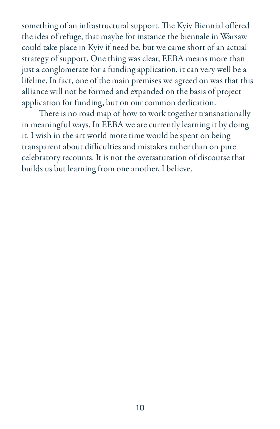something of an infrastructural support. The Kyiv Biennial offered the idea of refuge, that maybe for instance the biennale in Warsaw could take place in Kyiv if need be, but we came short of an actual strategy of support. One thing was clear, EEBA means more than just a conglomerate for a funding application, it can very well be a lifeline. In fact, one of the main premises we agreed on was that this alliance will not be formed and expanded on the basis of project application for funding, but on our common dedication.

There is no road map of how to work together transnationally in meaningful ways. In EEBA we are currently learning it by doing it. I wish in the art world more time would be spent on being transparent about difficulties and mistakes rather than on pure celebratory recounts. It is not the oversaturation of discourse that builds us but learning from one another, I believe.